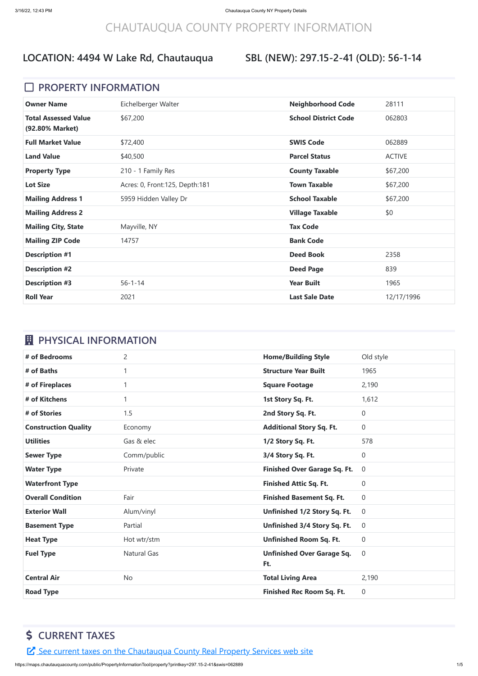# CHAUTAUQUA COUNTY PROPERTY INFORMATION

#### **SBL (NEW): 297.15-2-41 (OLD): 56-1-14**

#### **D** PROPERTY INFORMATION

| <b>Owner Name</b>                              | Eichelberger Walter              | <b>Neighborhood Code</b>    | 28111         |
|------------------------------------------------|----------------------------------|-----------------------------|---------------|
| <b>Total Assessed Value</b><br>(92.80% Market) | \$67,200                         | <b>School District Code</b> | 062803        |
| <b>Full Market Value</b>                       | \$72,400                         | <b>SWIS Code</b>            | 062889        |
| <b>Land Value</b>                              | \$40,500                         | <b>Parcel Status</b>        | <b>ACTIVE</b> |
| <b>Property Type</b>                           | 210 - 1 Family Res               | <b>County Taxable</b>       | \$67,200      |
| <b>Lot Size</b>                                | Acres: 0, Front: 125, Depth: 181 | <b>Town Taxable</b>         | \$67,200      |
| <b>Mailing Address 1</b>                       | 5959 Hidden Valley Dr            | <b>School Taxable</b>       | \$67,200      |
| <b>Mailing Address 2</b>                       |                                  | <b>Village Taxable</b>      | \$0           |
| <b>Mailing City, State</b>                     | Mayville, NY                     | <b>Tax Code</b>             |               |
| <b>Mailing ZIP Code</b>                        | 14757                            | <b>Bank Code</b>            |               |
| <b>Description #1</b>                          |                                  | <b>Deed Book</b>            | 2358          |
| <b>Description #2</b>                          |                                  | <b>Deed Page</b>            | 839           |
| <b>Description #3</b>                          | $56 - 1 - 14$                    | <b>Year Built</b>           | 1965          |
| <b>Roll Year</b>                               | 2021                             | <b>Last Sale Date</b>       | 12/17/1996    |

### *E* PHYSICAL INFORMATION

| # of Bedrooms               | $\overline{2}$     | <b>Home/Building Style</b>               | Old style      |
|-----------------------------|--------------------|------------------------------------------|----------------|
| # of Baths                  | 1                  | <b>Structure Year Built</b>              | 1965           |
| # of Fireplaces             | 1                  | <b>Square Footage</b>                    | 2,190          |
| # of Kitchens               | 1                  | 1st Story Sq. Ft.                        | 1,612          |
| # of Stories                | 1.5                | 2nd Story Sq. Ft.                        | 0              |
| <b>Construction Quality</b> | Economy            | <b>Additional Story Sq. Ft.</b>          | 0              |
| <b>Utilities</b>            | Gas & elec         | 1/2 Story Sq. Ft.                        | 578            |
| <b>Sewer Type</b>           | Comm/public        | 3/4 Story Sq. Ft.                        | 0              |
| <b>Water Type</b>           | Private            | <b>Finished Over Garage Sq. Ft.</b>      | $\overline{0}$ |
| <b>Waterfront Type</b>      |                    | <b>Finished Attic Sq. Ft.</b>            | $\overline{0}$ |
| <b>Overall Condition</b>    | Fair               | <b>Finished Basement Sq. Ft.</b>         | $\overline{0}$ |
| <b>Exterior Wall</b>        | Alum/vinyl         | Unfinished 1/2 Story Sq. Ft.             | $\overline{0}$ |
| <b>Basement Type</b>        | Partial            | Unfinished 3/4 Story Sq. Ft.             | $\overline{0}$ |
| <b>Heat Type</b>            | Hot wtr/stm        | <b>Unfinished Room Sq. Ft.</b>           | 0              |
| <b>Fuel Type</b>            | <b>Natural Gas</b> | <b>Unfinished Over Garage Sq.</b><br>Ft. | $\overline{0}$ |
|                             |                    |                                          |                |
| <b>Central Air</b>          | <b>No</b>          | <b>Total Living Area</b>                 | 2,190          |

# **\$ CURRENT TAXES**

E See current taxes on the [Chautauqua](https://app.co.chautauqua.ny.us/cctaxonline/#/parcel/062889-297.15-2-41/current) County Real Property Services web site

https://maps.chautauquacounty.com/public/PropertyInformationTool/property?printkey=297.15-2-41&swis=062889 1/5

### **LOCATION: 4494 W Lake Rd, Chautauqua**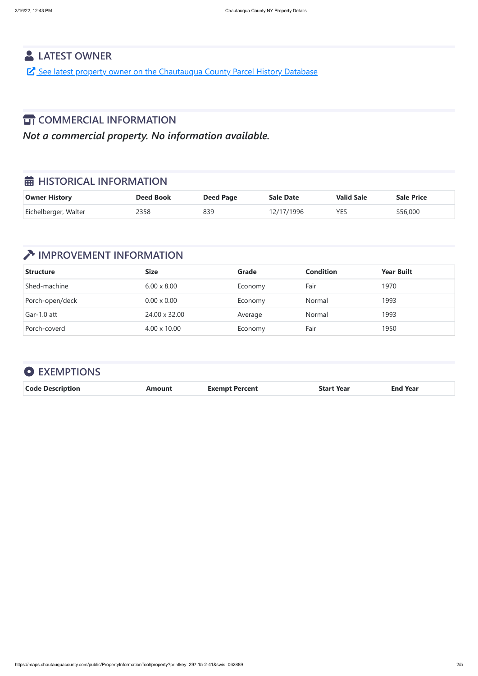https://maps.chautauquacounty.com/public/PropertyInformationTool/property?printkey=297.15-2-41&swis=062889 2/5

#### **LATEST OWNER**

See latest property owner on the [Chautauqua](https://maps.chautauquacounty.com/Public/PHD/Default.aspx?ExternalRequest=true&phdPrintKey=297.15-2-41&phdSwiss=062889) County Parcel History Database

### **TT COMMERCIAL INFORMATION**

*Not a commercial property. No information available.*

### $\frac{1}{20}$  **HISTORICAL INFORMATION**

| <b>Owner History</b> | <b>Deed Book</b> | <b>Deed Page</b> | <b>Sale Date</b> | <b>Valid Sale</b> | <b>Sale Price</b> |
|----------------------|------------------|------------------|------------------|-------------------|-------------------|
| Eichelberger, Walter | 2358             | 839              | 12/17/1996       | <b>YES</b>        | \$56,000          |

# **IMPROVEMENT INFORMATION**

| <b>Structure</b> | <b>Size</b>         | <b>Grade</b> | <b>Condition</b> | <b>Year Built</b> |
|------------------|---------------------|--------------|------------------|-------------------|
| Shed-machine     | $6.00 \times 8.00$  | Economy      | Fair             | 1970              |
| Porch-open/deck  | $0.00 \times 0.00$  | Economy      | Normal           | 1993              |
| Gar-1.0 att      | 24.00 x 32.00       | Average      | Normal           | 1993              |
| Porch-coverd     | $4.00 \times 10.00$ | Economy      | Fair             | 1950              |

| <b>O</b> EXEMPTIONS     |               |                       |                   |                 |
|-------------------------|---------------|-----------------------|-------------------|-----------------|
| <b>Code Description</b> | <b>Amount</b> | <b>Exempt Percent</b> | <b>Start Year</b> | <b>End Year</b> |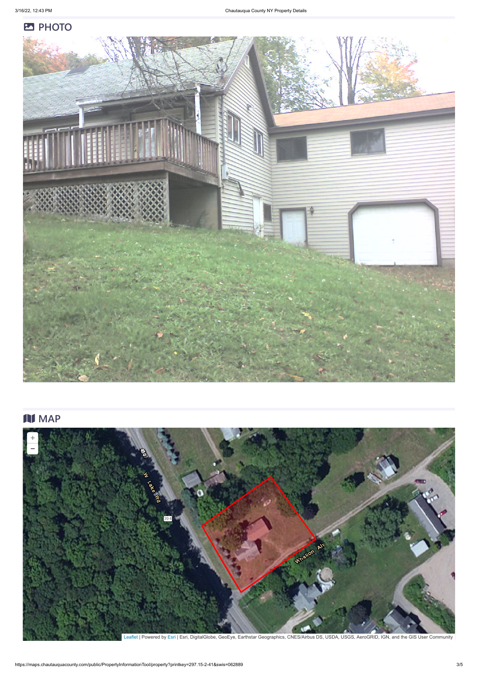#### **PHOTO**



# **N** MAP



https://maps.chautauquacounty.com/public/PropertyInformationTool/property?printkey=297.15-2-41&swis=062889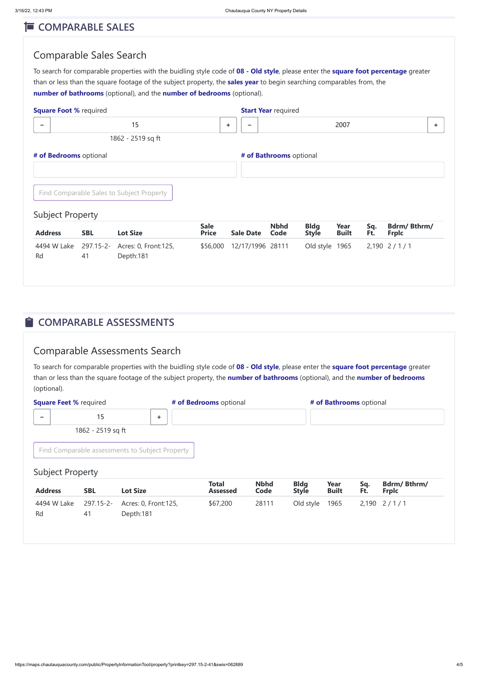#### **E** COMPARABLE SALES

#### Comparable Sales Search

To search for comparable properties with the buidling style code of **08 - Old style**, please enter the **square foot percentage** greater than or less than the square footage of the subject property, the **sales year** to begin searching comparables from, the **number of bathrooms** (optional), and the **number of bedrooms** (optional).

#### **COMPARABLE ASSESSMENTS**

#### Comparable Assessments Search

| <b>Square Foot % required</b> |                 |                                           |                             |                  | <b>Start Year required</b> |                             |                      |            |                                    |    |
|-------------------------------|-----------------|-------------------------------------------|-----------------------------|------------------|----------------------------|-----------------------------|----------------------|------------|------------------------------------|----|
| $\overline{\phantom{0}}$      |                 | 15                                        |                             | ÷.<br>-          |                            |                             | 2007                 |            |                                    | ÷. |
|                               |                 | 1862 - 2519 sq ft                         |                             |                  |                            |                             |                      |            |                                    |    |
| # of Bedrooms optional        |                 |                                           |                             |                  | # of Bathrooms optional    |                             |                      |            |                                    |    |
|                               |                 |                                           |                             |                  |                            |                             |                      |            |                                    |    |
|                               |                 | Find Comparable Sales to Subject Property |                             |                  |                            |                             |                      |            |                                    |    |
| <b>Subject Property</b>       |                 |                                           |                             |                  |                            |                             |                      |            |                                    |    |
| <b>Address</b>                | <b>SBL</b>      | <b>Lot Size</b>                           | <b>Sale</b><br><b>Price</b> | <b>Sale Date</b> | <b>Nbhd</b><br>Code        | <b>Bldg</b><br><b>Style</b> | Year<br><b>Built</b> | Sq.<br>Ft. | <b>Bdrm/Bthrm/</b><br><b>Frplc</b> |    |
| 4494 W Lake<br>Rd             | 297.15-2-<br>41 | Acres: 0, Front: 125,<br>Depth:181        | \$56,000                    | 12/17/1996 28111 |                            | Old style                   | 1965                 |            | $2,190$ 2/1/1                      |    |

To search for comparable properties with the buidling style code of **08 - Old style**, please enter the **square foot percentage** greater than or less than the square footage of the subject property, the **number of bathrooms** (optional), and the **number of bedrooms** (optional).



| <b>Square Feet % required</b> |                   |                                                 |  | # of Bedrooms optional          |                     |                             |                      | # of Bathrooms optional |                             |
|-------------------------------|-------------------|-------------------------------------------------|--|---------------------------------|---------------------|-----------------------------|----------------------|-------------------------|-----------------------------|
| $\overline{\phantom{0}}$      | 15                | ÷                                               |  |                                 |                     |                             |                      |                         |                             |
|                               | 1862 - 2519 sq ft |                                                 |  |                                 |                     |                             |                      |                         |                             |
| <b>Subject Property</b>       |                   | Find Comparable assessments to Subject Property |  |                                 |                     |                             |                      |                         |                             |
| <b>Address</b>                | <b>SBL</b>        | <b>Lot Size</b>                                 |  | <b>Total</b><br><b>Assessed</b> | <b>Nbhd</b><br>Code | <b>Bldg</b><br><b>Style</b> | Year<br><b>Built</b> | Sq.<br>Ft.              | Bdrm/Bthrm/<br><b>Frplc</b> |
| 4494 W Lake                   | 297.15-2-         | Acres: 0, Front: 125,                           |  | \$67,200                        | 28111               | Old style                   | 1965                 |                         | $2,190$ $2/1/1$             |